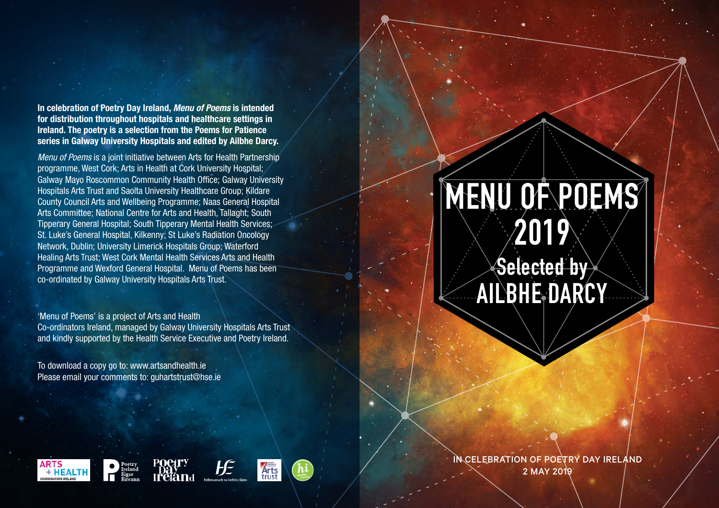**In celebration of Poetry Day Ireland,** *Menu of Poems* **is intended for distribution throughout hospitals and healthcare settings in Ireland. The poetry is a selection from the Poems for Patience series in Galway University Hospitals and edited by Ailbhe Darcy.**

*Menu of Poems* is a joint initiative between Arts for Health Partnership programme, West Cork; Arts in Health at Cork University Hospital; Galway Mayo Roscommon Community Health Office; Galway University Hospitals Arts Trust and Saolta University Healthcare Group; Kildare County Council Arts and Wellbeing Programme; Naas General Hospital Arts Committee; National Centre for Arts and Health, Tallaght; South Tipperary General Hospital; South Tipperary Mental Health Services; St. Luke's General Hospital, Kilkenny; St Luke's Radiation Oncology Network, Dublin; University Limerick Hospitals Group; Waterford Healing Arts Trust; West Cork Mental Health Services Arts and Health Programme and Wexford General Hospital. Menu of Poems has been co-ordinated by Galway University Hospitals Arts Trust.

'Menu of Poems' is a project of Arts and Health Co-ordinators Ireland, managed by Galway University Hospitals Arts Trust and kindly supported by the Health Service Executive and Poetry Ireland.

To download a copy go to: www.artsandhealth.ie Please email your comments to: guhartstrust@hse.ie

## **MENU OF POEMS 2019**

**Selected by AILBHE DARCY**

**ARTS** + HEALTH





IN CELEBRATION OF POETRY DAY IRELAND 2 MAY 2019